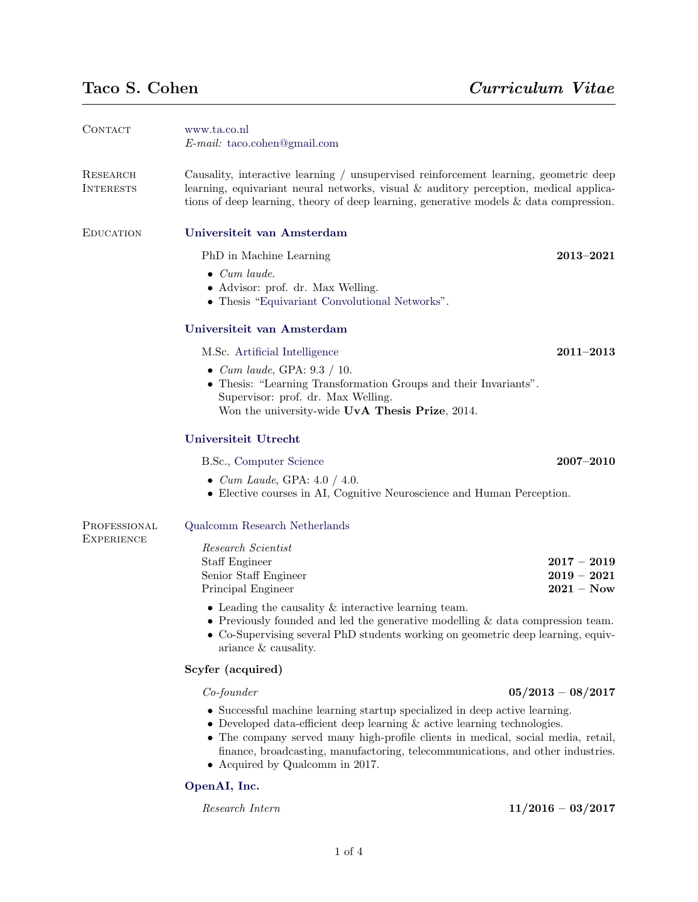| CONTACT                           | www.ta.co.nl<br>$E$ -mail: taco.cohen@gmail.com                                                                                                                                                                                                                                                                                                                                                                   |                                                |
|-----------------------------------|-------------------------------------------------------------------------------------------------------------------------------------------------------------------------------------------------------------------------------------------------------------------------------------------------------------------------------------------------------------------------------------------------------------------|------------------------------------------------|
| RESEARCH<br><b>INTERESTS</b>      | Causality, interactive learning / unsupervised reinforcement learning, geometric deep<br>learning, equivariant neural networks, visual $\&$ auditory perception, medical applica-<br>tions of deep learning, theory of deep learning, generative models $\&$ data compression.                                                                                                                                    |                                                |
| <b>EDUCATION</b>                  | Universiteit van Amsterdam                                                                                                                                                                                                                                                                                                                                                                                        |                                                |
|                                   | PhD in Machine Learning                                                                                                                                                                                                                                                                                                                                                                                           | $2013 - 2021$                                  |
|                                   | $\bullet$ Cum laude.<br>• Advisor: prof. dr. Max Welling.<br>• Thesis "Equivariant Convolutional Networks".                                                                                                                                                                                                                                                                                                       |                                                |
|                                   | Universiteit van Amsterdam                                                                                                                                                                                                                                                                                                                                                                                        |                                                |
|                                   | M.Sc. Artificial Intelligence                                                                                                                                                                                                                                                                                                                                                                                     | $2011 - 2013$                                  |
|                                   | • <i>Cum laude</i> , GPA: $9.3 / 10$ .<br>• Thesis: "Learning Transformation Groups and their Invariants".<br>Supervisor: prof. dr. Max Welling.<br>Won the university-wide UvA Thesis Prize, 2014.                                                                                                                                                                                                               |                                                |
|                                   | Universiteit Utrecht                                                                                                                                                                                                                                                                                                                                                                                              |                                                |
|                                   | B.Sc., Computer Science                                                                                                                                                                                                                                                                                                                                                                                           | $2007 - 2010$                                  |
|                                   | • <i>Cum Laude</i> , GPA: $4.0 / 4.0$ .<br>• Elective courses in AI, Cognitive Neuroscience and Human Perception.                                                                                                                                                                                                                                                                                                 |                                                |
| PROFESSIONAL<br><b>EXPERIENCE</b> | Qualcomm Research Netherlands                                                                                                                                                                                                                                                                                                                                                                                     |                                                |
|                                   | Research Scientist<br>Staff Engineer<br>Senior Staff Engineer<br>Principal Engineer<br>$\bullet$ Leading the causality & interactive learning team.<br>• Previously founded and led the generative modelling $\&$ data compression team.<br>• Co-Supervising several PhD students working on geometric deep learning, equiv-                                                                                      | $2017 - 2019$<br>$2019 - 2021$<br>$2021 - Now$ |
|                                   | ariance $\&$ causality.<br>Scyfer (acquired)                                                                                                                                                                                                                                                                                                                                                                      |                                                |
|                                   |                                                                                                                                                                                                                                                                                                                                                                                                                   |                                                |
|                                   | $Co\text{-}founder$<br>$05/2013 - 08/2017$<br>• Successful machine learning startup specialized in deep active learning.<br>• Developed data-efficient deep learning $\&$ active learning technologies.<br>• The company served many high-profile clients in medical, social media, retail,<br>finance, broadcasting, manufactoring, telecommunications, and other industries.<br>• Acquired by Qualcomm in 2017. |                                                |

# [OpenAI, Inc.](http://www.openai.com/)

# $Research Intern$   $11/2016 - 03/2017$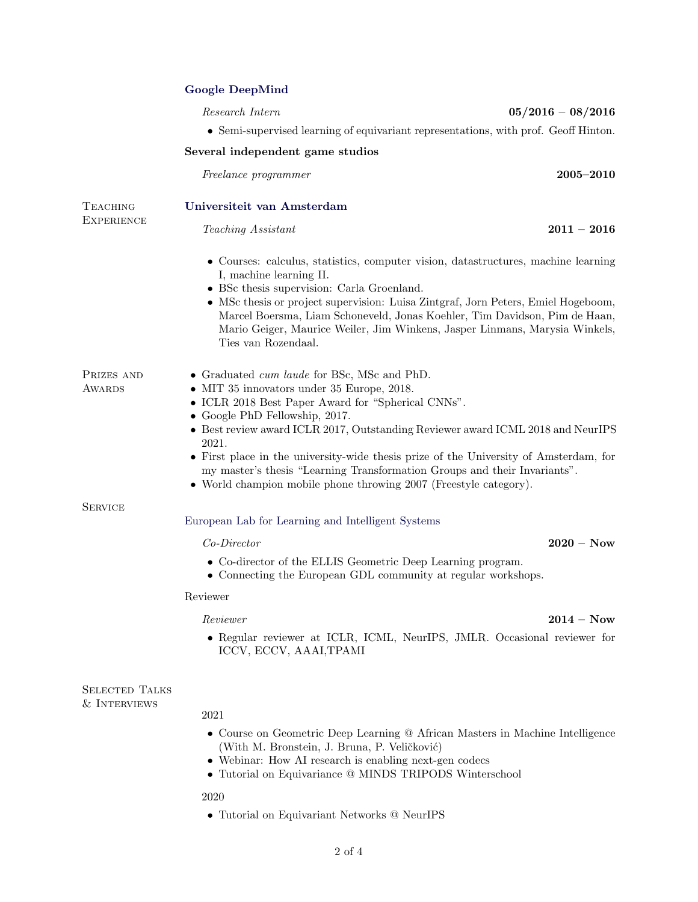# [Google DeepMind](http://www.deepmind.com/)

 $Research Intern$   $05/2016 - 08/2016$ 

• Semi-supervised learning of equivariant representations, with prof. Geoff Hinton.

## Several independent game studios

Freelance programmer 2005–2010

Teaching Assistant 2011 – 2016

Teaching [Universiteit van Amsterdam](http://www.uva.nl/)

- Courses: calculus, statistics, computer vision, datastructures, machine learning I, machine learning II.
- BSc thesis supervision: Carla Groenland.
- MSc thesis or project supervision: Luisa Zintgraf, Jorn Peters, Emiel Hogeboom, Marcel Boersma, Liam Schoneveld, Jonas Koehler, Tim Davidson, Pim de Haan, Mario Geiger, Maurice Weiler, Jim Winkens, Jasper Linmans, Marysia Winkels, Ties van Rozendaal.

- MIT 35 innovators under 35 Europe, 2018.
- ICLR 2018 Best Paper Award for "Spherical CNNs".
- Google PhD Fellowship, 2017.
- Best review award ICLR 2017, Outstanding Reviewer award ICML 2018 and NeurIPS 2021.
- First place in the university-wide thesis prize of the University of Amsterdam, for my master's thesis "Learning Transformation Groups and their Invariants".
- World champion mobile phone throwing 2007 (Freestyle category).

**SERVICE** 

**AWARDS** 

**EXPERIENCE** 

## [European Lab for Learning and Intelligent Systems](https://ellis.eu/programs/geometric-deep-learning)

- 
- Co-director of the ELLIS Geometric Deep Learning program.
- Connecting the European GDL community at regular workshops.

#### Reviewer

### Reviewer 2014 – Now

• Regular reviewer at ICLR, ICML, NeurIPS, JMLR. Occasional reviewer for ICCV, ECCV, AAAI,TPAMI

SELECTED TALKS & Interviews

# 2021

- Course on Geometric Deep Learning @ African Masters in Machine Intelligence (With M. Bronstein, J. Bruna, P. Veličković)
- Webinar: How AI research is enabling next-gen codecs
- Tutorial on Equivariance @ MINDS TRIPODS Winterschool

# 2020

• Tutorial on Equivariant Networks @ NeurIPS

Co-Director 2020 – Now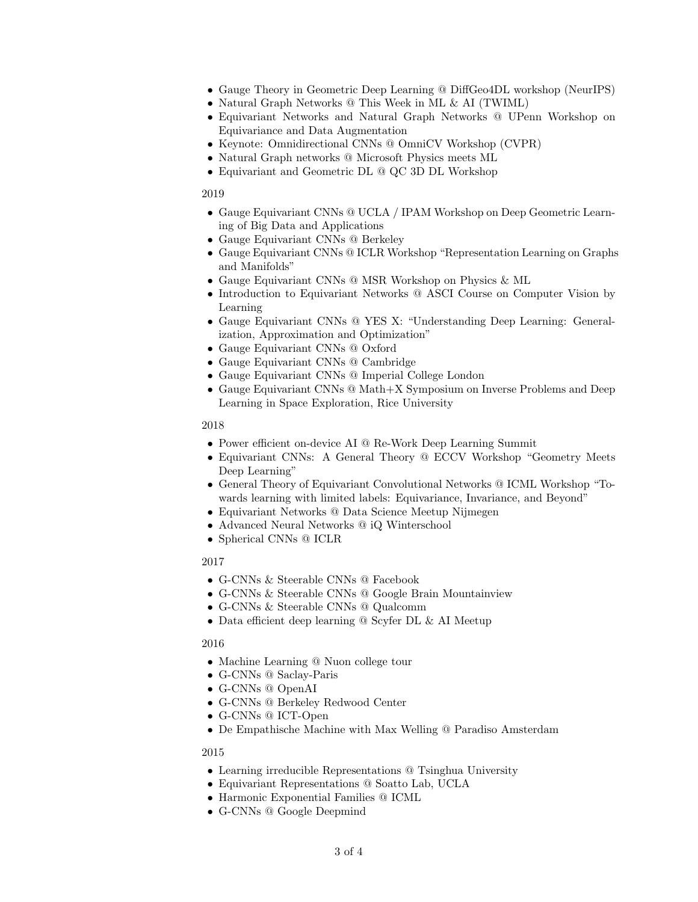- Gauge Theory in Geometric Deep Learning @ DiffGeo4DL workshop (NeurIPS)
- Natural Graph Networks @ This Week in ML & AI (TWIML)
- Equivariant Networks and Natural Graph Networks @ UPenn Workshop on Equivariance and Data Augmentation
- Keynote: Omnidirectional CNNs @ OmniCV Workshop (CVPR)
- Natural Graph networks @ Microsoft Physics meets ML
- Equivariant and Geometric DL @ QC 3D DL Workshop

2019

- Gauge Equivariant CNNs @ UCLA / IPAM Workshop on Deep Geometric Learning of Big Data and Applications
- Gauge Equivariant CNNs @ Berkeley
- Gauge Equivariant CNNs @ ICLR Workshop "Representation Learning on Graphs and Manifolds"
- Gauge Equivariant CNNs @ MSR Workshop on Physics & ML
- Introduction to Equivariant Networks @ ASCI Course on Computer Vision by Learning
- Gauge Equivariant CNNs @ YES X: "Understanding Deep Learning: Generalization, Approximation and Optimization"
- Gauge Equivariant CNNs @ Oxford
- Gauge Equivariant CNNs @ Cambridge
- Gauge Equivariant CNNs @ Imperial College London
- Gauge Equivariant CNNs @ Math+X Symposium on Inverse Problems and Deep Learning in Space Exploration, Rice University

2018

- Power efficient on-device AI @ Re-Work Deep Learning Summit
- Equivariant CNNs: A General Theory @ ECCV Workshop "Geometry Meets Deep Learning"
- General Theory of Equivariant Convolutional Networks @ ICML Workshop "Towards learning with limited labels: Equivariance, Invariance, and Beyond"
- Equivariant Networks @ Data Science Meetup Nijmegen
- Advanced Neural Networks @ iQ Winterschool
- Spherical CNNs @ ICLR

2017

- G-CNNs & Steerable CNNs @ Facebook
- G-CNNs & Steerable CNNs @ Google Brain Mountainview
- G-CNNs & Steerable CNNs @ Qualcomm
- Data efficient deep learning @ Scyfer DL & AI Meetup

2016

- Machine Learning @ Nuon college tour
- G-CNNs @ Saclay-Paris
- G-CNNs @ OpenAI
- G-CNNs @ Berkeley Redwood Center
- G-CNNs @ ICT-Open
- De Empathische Machine with Max Welling @ Paradiso Amsterdam

2015

- Learning irreducible Representations @ Tsinghua University
- Equivariant Representations @ Soatto Lab, UCLA
- Harmonic Exponential Families @ ICML
- G-CNNs @ Google Deepmind